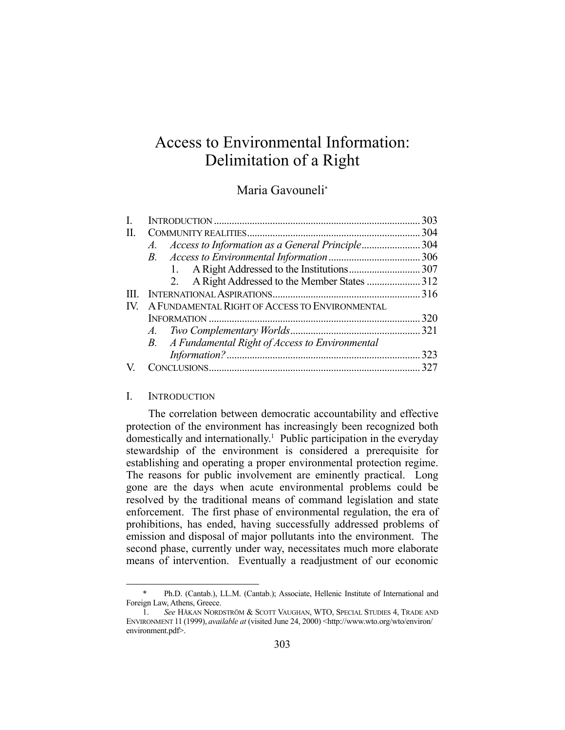# Access to Environmental Information: Delimitation of a Right

## Maria Gavouneli\*

|                                                       | 303                                               |
|-------------------------------------------------------|---------------------------------------------------|
|                                                       |                                                   |
| Access to Information as a General Principle304<br>A. |                                                   |
| B.                                                    |                                                   |
|                                                       |                                                   |
| 2.                                                    |                                                   |
|                                                       |                                                   |
| A FUNDAMENTAL RIGHT OF ACCESS TO ENVIRONMENTAL        |                                                   |
|                                                       | 320                                               |
|                                                       |                                                   |
|                                                       |                                                   |
|                                                       | 323                                               |
|                                                       | 327                                               |
|                                                       | B. A Fundamental Right of Access to Environmental |

#### I. INTRODUCTION

<u>.</u>

 The correlation between democratic accountability and effective protection of the environment has increasingly been recognized both domestically and internationally.1 Public participation in the everyday stewardship of the environment is considered a prerequisite for establishing and operating a proper environmental protection regime. The reasons for public involvement are eminently practical. Long gone are the days when acute environmental problems could be resolved by the traditional means of command legislation and state enforcement. The first phase of environmental regulation, the era of prohibitions, has ended, having successfully addressed problems of emission and disposal of major pollutants into the environment. The second phase, currently under way, necessitates much more elaborate means of intervention. Eventually a readjustment of our economic

 <sup>\*</sup> Ph.D. (Cantab.), LL.M. (Cantab.); Associate, Hellenic Institute of International and Foreign Law, Athens, Greece.

 <sup>1.</sup> *See* HÅKAN NORDSTRÖM & SCOTT VAUGHAN, WTO, SPECIAL STUDIES 4, TRADE AND ENVIRONMENT 11 (1999), *available at* (visited June 24, 2000) <http://www.wto.org/wto/environ/ environment.pdf>.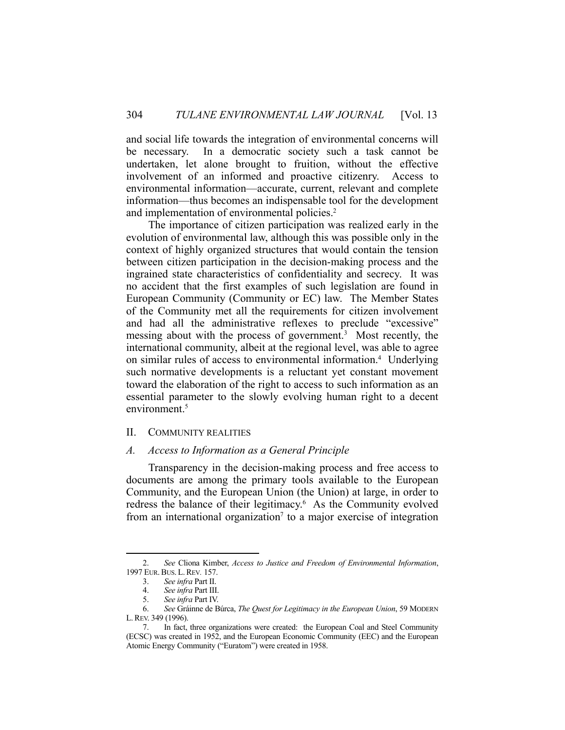and social life towards the integration of environmental concerns will be necessary. In a democratic society such a task cannot be undertaken, let alone brought to fruition, without the effective involvement of an informed and proactive citizenry. Access to environmental information—accurate, current, relevant and complete information—thus becomes an indispensable tool for the development and implementation of environmental policies.<sup>2</sup>

 The importance of citizen participation was realized early in the evolution of environmental law, although this was possible only in the context of highly organized structures that would contain the tension between citizen participation in the decision-making process and the ingrained state characteristics of confidentiality and secrecy. It was no accident that the first examples of such legislation are found in European Community (Community or EC) law. The Member States of the Community met all the requirements for citizen involvement and had all the administrative reflexes to preclude "excessive" messing about with the process of government.<sup>3</sup> Most recently, the international community, albeit at the regional level, was able to agree on similar rules of access to environmental information.<sup>4</sup> Underlying such normative developments is a reluctant yet constant movement toward the elaboration of the right to access to such information as an essential parameter to the slowly evolving human right to a decent environment.<sup>5</sup>

## II. COMMUNITY REALITIES

#### *A. Access to Information as a General Principle*

 Transparency in the decision-making process and free access to documents are among the primary tools available to the European Community, and the European Union (the Union) at large, in order to redress the balance of their legitimacy.<sup>6</sup> As the Community evolved from an international organization<sup>7</sup> to a major exercise of integration

 <sup>2.</sup> *See* Cliona Kimber, *Access to Justice and Freedom of Environmental Information*, 1997 EUR.BUS. L.REV*.* 157.

 <sup>3.</sup> *See infra* Part II.

 <sup>4.</sup> *See infra* Part III.

 <sup>5.</sup> *See infra* Part IV.

 <sup>6.</sup> *See* Gráinne de Búrca, *The Quest for Legitimacy in the European Union*, 59 MODERN L.REV. 349 (1996).

In fact, three organizations were created: the European Coal and Steel Community (ECSC) was created in 1952, and the European Economic Community (EEC) and the European Atomic Energy Community ("Euratom") were created in 1958.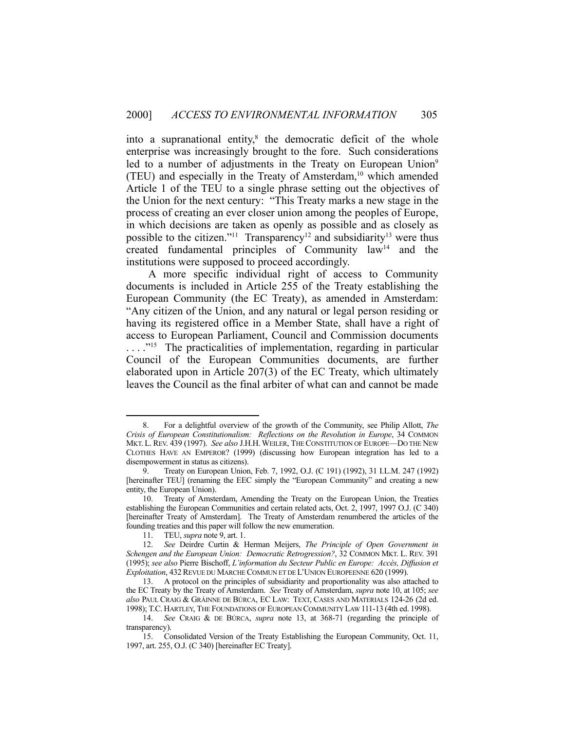into a supranational entity, ${}^{8}$  the democratic deficit of the whole enterprise was increasingly brought to the fore. Such considerations led to a number of adjustments in the Treaty on European Union<sup>9</sup> (TEU) and especially in the Treaty of Amsterdam, $10$  which amended Article 1 of the TEU to a single phrase setting out the objectives of the Union for the next century: "This Treaty marks a new stage in the process of creating an ever closer union among the peoples of Europe, in which decisions are taken as openly as possible and as closely as possible to the citizen."<sup>11</sup> Transparency<sup>12</sup> and subsidiarity<sup>13</sup> were thus created fundamental principles of Community law14 and the institutions were supposed to proceed accordingly.

 A more specific individual right of access to Community documents is included in Article 255 of the Treaty establishing the European Community (the EC Treaty), as amended in Amsterdam: "Any citizen of the Union, and any natural or legal person residing or having its registered office in a Member State, shall have a right of access to European Parliament, Council and Commission documents ...."<sup>15</sup> The practicalities of implementation, regarding in particular Council of the European Communities documents, are further elaborated upon in Article 207(3) of the EC Treaty, which ultimately leaves the Council as the final arbiter of what can and cannot be made

 <sup>8.</sup> For a delightful overview of the growth of the Community, see Philip Allott, *The Crisis of European Constitutionalism: Reflections on the Revolution in Europe*, 34 COMMON MKT. L. REV. 439 (1997). *See also* J.H.H. WEILER, THE CONSTITUTION OF EUROPE—DO THE NEW CLOTHES HAVE AN EMPEROR? (1999) (discussing how European integration has led to a disempowerment in status as citizens).

 <sup>9.</sup> Treaty on European Union, Feb. 7, 1992, O.J. (C 191) (1992), 31 I.L.M. 247 (1992) [hereinafter TEU] (renaming the EEC simply the "European Community" and creating a new entity, the European Union).

 <sup>10.</sup> Treaty of Amsterdam, Amending the Treaty on the European Union, the Treaties establishing the European Communities and certain related acts, Oct. 2, 1997, 1997 O.J. (C 340) [hereinafter Treaty of Amsterdam]. The Treaty of Amsterdam renumbered the articles of the founding treaties and this paper will follow the new enumeration.

 <sup>11.</sup> TEU, *supra* note 9, art. 1.

 <sup>12.</sup> *See* Deirdre Curtin & Herman Meijers, *The Principle of Open Government in Schengen and the European Union: Democratic Retrogression?*, 32 COMMON MKT. L. REV. 391 (1995); *see also* Pierre Bischoff, *L'information du Secteur Public en Europe: Accès, Diffusion et Exploitation*, 432REVUE DU MARCHE COMMUN ET DE L'UNION EUROPEENNE 620 (1999).

 <sup>13.</sup> A protocol on the principles of subsidiarity and proportionality was also attached to the EC Treaty by the Treaty of Amsterdam. *See* Treaty of Amsterdam, *supra* note 10, at 105; *see also* PAUL CRAIG & GRÁINNE DE BÚRCA, EC LAW: TEXT, CASES AND MATERIALS 124-26 (2d ed. 1998); T.C. HARTLEY, THE FOUNDATIONS OF EUROPEAN COMMUNITY LAW 111-13 (4th ed. 1998).

 <sup>14.</sup> *See* CRAIG & DE BÚRCA, *supra* note 13, at 368-71 (regarding the principle of transparency).

 <sup>15.</sup> Consolidated Version of the Treaty Establishing the European Community, Oct. 11, 1997, art. 255, O.J. (C 340) [hereinafter EC Treaty].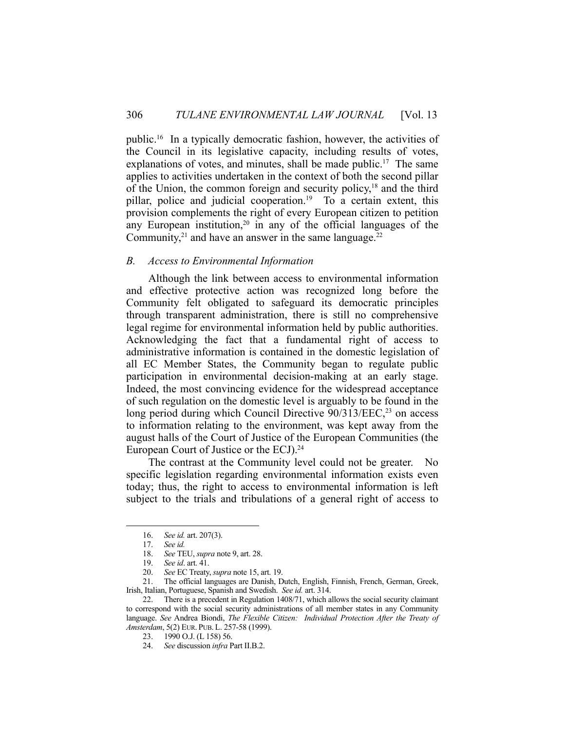public.16 In a typically democratic fashion, however, the activities of the Council in its legislative capacity, including results of votes, explanations of votes, and minutes, shall be made public.<sup>17</sup> The same applies to activities undertaken in the context of both the second pillar of the Union, the common foreign and security policy,<sup>18</sup> and the third pillar, police and judicial cooperation.<sup>19</sup> To a certain extent, this provision complements the right of every European citizen to petition any European institution,<sup>20</sup> in any of the official languages of the Community, $2<sup>1</sup>$  and have an answer in the same language. $2<sup>2</sup>$ 

#### *B. Access to Environmental Information*

 Although the link between access to environmental information and effective protective action was recognized long before the Community felt obligated to safeguard its democratic principles through transparent administration, there is still no comprehensive legal regime for environmental information held by public authorities. Acknowledging the fact that a fundamental right of access to administrative information is contained in the domestic legislation of all EC Member States, the Community began to regulate public participation in environmental decision-making at an early stage. Indeed, the most convincing evidence for the widespread acceptance of such regulation on the domestic level is arguably to be found in the long period during which Council Directive  $90/313/EEC<sub>3</sub><sup>23</sup>$  on access to information relating to the environment, was kept away from the august halls of the Court of Justice of the European Communities (the European Court of Justice or the ECJ).<sup>24</sup>

 The contrast at the Community level could not be greater. No specific legislation regarding environmental information exists even today; thus, the right to access to environmental information is left subject to the trials and tribulations of a general right of access to

 <sup>16.</sup> *See id.* art. 207(3).

 <sup>17.</sup> *See id.*

 <sup>18.</sup> *See* TEU, *supra* note 9, art. 28.

 <sup>19.</sup> *See id*. art. 41.

 <sup>20.</sup> *See* EC Treaty, *supra* note 15, art. 19.

 <sup>21.</sup> The official languages are Danish, Dutch, English, Finnish, French, German, Greek, Irish, Italian, Portuguese, Spanish and Swedish. *See id.* art. 314.

 <sup>22.</sup> There is a precedent in Regulation 1408/71, which allows the social security claimant to correspond with the social security administrations of all member states in any Community language. *See* Andrea Biondi, *The Flexible Citizen: Individual Protection After the Treaty of Amsterdam*, 5(2) EUR. PUB. L. 257-58 (1999).

 <sup>23. 1990</sup> O.J. (L 158) 56.

 <sup>24.</sup> *See* discussion *infra* Part II.B.2.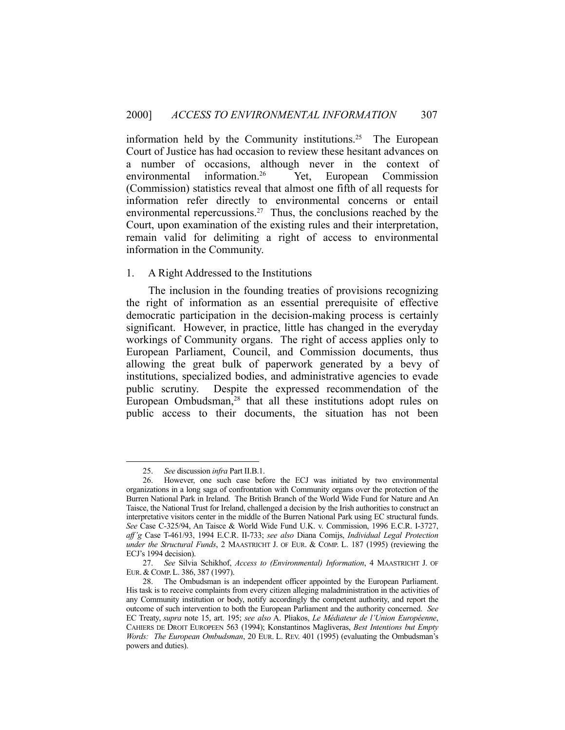information held by the Community institutions.<sup>25</sup> The European Court of Justice has had occasion to review these hesitant advances on a number of occasions, although never in the context of environmental information.26 Yet, European Commission (Commission) statistics reveal that almost one fifth of all requests for information refer directly to environmental concerns or entail environmental repercussions.<sup>27</sup> Thus, the conclusions reached by the Court, upon examination of the existing rules and their interpretation, remain valid for delimiting a right of access to environmental information in the Community.

## 1. A Right Addressed to the Institutions

 The inclusion in the founding treaties of provisions recognizing the right of information as an essential prerequisite of effective democratic participation in the decision-making process is certainly significant. However, in practice, little has changed in the everyday workings of Community organs. The right of access applies only to European Parliament, Council, and Commission documents, thus allowing the great bulk of paperwork generated by a bevy of institutions, specialized bodies, and administrative agencies to evade public scrutiny. Despite the expressed recommendation of the European Ombudsman,<sup>28</sup> that all these institutions adopt rules on public access to their documents, the situation has not been

 <sup>25.</sup> *See* discussion *infra* Part II.B.1.

 <sup>26.</sup> However, one such case before the ECJ was initiated by two environmental organizations in a long saga of confrontation with Community organs over the protection of the Burren National Park in Ireland. The British Branch of the World Wide Fund for Nature and An Taisce, the National Trust for Ireland, challenged a decision by the Irish authorities to construct an interpretative visitors center in the middle of the Burren National Park using EC structural funds. *See* Case C-325/94, An Taisce & World Wide Fund U.K. v. Commission, 1996 E.C.R. I-3727, *aff'g* Case T-461/93, 1994 E.C.R. II-733; *see also* Diana Comijs, *Individual Legal Protection under the Structural Funds*, 2 MAASTRICHT J. OF EUR. & COMP. L. 187 (1995) (reviewing the ECJ's 1994 decision).

 <sup>27.</sup> *See* Silvia Schikhof, *Access to (Environmental) Information*, 4 MAASTRICHT J. OF EUR. & COMP. L. 386, 387 (1997).

 <sup>28.</sup> The Ombudsman is an independent officer appointed by the European Parliament. His task is to receive complaints from every citizen alleging maladministration in the activities of any Community institution or body, notify accordingly the competent authority, and report the outcome of such intervention to both the European Parliament and the authority concerned. *See* EC Treaty, *supra* note 15, art. 195; *see also* A. Pliakos, *Le Médiateur de l'Union Européenne*, CAHIERS DE DROIT EUROPEEN 563 (1994); Konstantinos Magliveras, *Best Intentions but Empty Words: The European Ombudsman*, 20 EUR. L. REV. 401 (1995) (evaluating the Ombudsman's powers and duties).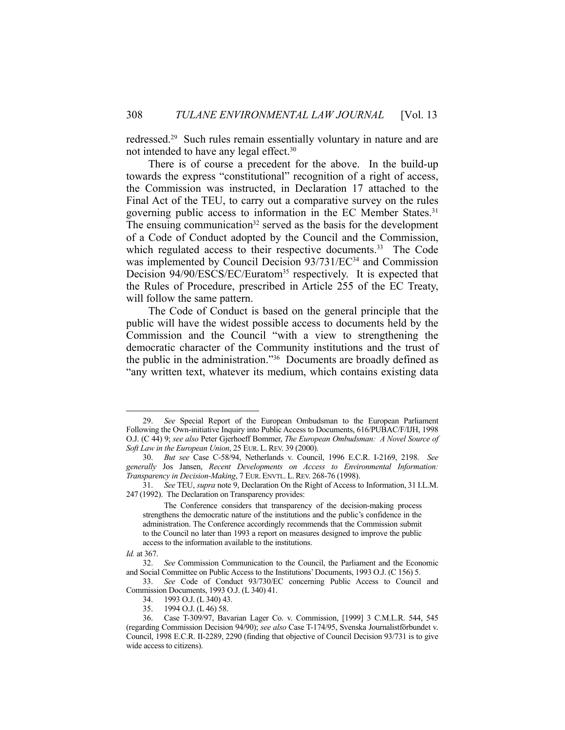redressed.29 Such rules remain essentially voluntary in nature and are not intended to have any legal effect.30

 There is of course a precedent for the above. In the build-up towards the express "constitutional" recognition of a right of access, the Commission was instructed, in Declaration 17 attached to the Final Act of the TEU, to carry out a comparative survey on the rules governing public access to information in the EC Member States.31 The ensuing communication<sup>32</sup> served as the basis for the development of a Code of Conduct adopted by the Council and the Commission, which regulated access to their respective documents.<sup>33</sup> The Code was implemented by Council Decision 93/731/EC<sup>34</sup> and Commission Decision 94/90/ESCS/EC/Euratom<sup>35</sup> respectively. It is expected that the Rules of Procedure, prescribed in Article 255 of the EC Treaty, will follow the same pattern.

 The Code of Conduct is based on the general principle that the public will have the widest possible access to documents held by the Commission and the Council "with a view to strengthening the democratic character of the Community institutions and the trust of the public in the administration."36 Documents are broadly defined as "any written text, whatever its medium, which contains existing data

 <sup>29.</sup> *See* Special Report of the European Ombudsman to the European Parliament Following the Own-initiative Inquiry into Public Access to Documents, 616/PUBAC/F/IJH, 1998 O.J. (C 44) 9; *see also* Peter Gjerhoeff Bommer, *The European Ombudsman: A Novel Source of Soft Law in the European Union*, 25 EUR. L. REV. 39 (2000).

 <sup>30.</sup> *But see* Case C-58/94, Netherlands v. Council, 1996 E.C.R. I-2169, 2198. *See generally* Jos Jansen, *Recent Developments on Access to Environmental Information: Transparency in Decision-Making*, 7 EUR. ENVTL. L.REV. 268-76 (1998).

 <sup>31.</sup> *See* TEU, *supra* note 9, Declaration On the Right of Access to Information, 31 I.L.M. 247 (1992). The Declaration on Transparency provides:

The Conference considers that transparency of the decision-making process strengthens the democratic nature of the institutions and the public's confidence in the administration. The Conference accordingly recommends that the Commission submit to the Council no later than 1993 a report on measures designed to improve the public access to the information available to the institutions.

*Id.* at 367.

 <sup>32.</sup> *See* Commission Communication to the Council, the Parliament and the Economic and Social Committee on Public Access to the Institutions' Documents, 1993 O.J. (C 156) 5.

 <sup>33.</sup> *See* Code of Conduct 93/730/EC concerning Public Access to Council and Commission Documents, 1993 O.J. (L 340) 41.

 <sup>34. 1993</sup> O.J. (L 340) 43.

 <sup>35. 1994</sup> O.J. (L 46) 58.

 <sup>36.</sup> Case T-309/97, Bavarian Lager Co. v. Commission, [1999] 3 C.M.L.R. 544, 545 (regarding Commission Decision 94/90); *see also* Case T-174/95, Svenska Journalistförbundet v. Council, 1998 E.C.R. II-2289, 2290 (finding that objective of Council Decision 93/731 is to give wide access to citizens).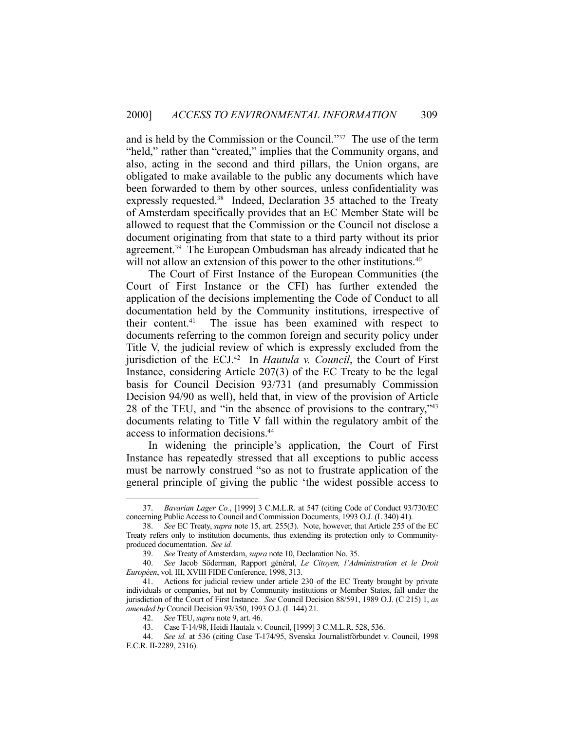and is held by the Commission or the Council."37 The use of the term "held," rather than "created," implies that the Community organs, and also, acting in the second and third pillars, the Union organs, are obligated to make available to the public any documents which have been forwarded to them by other sources, unless confidentiality was expressly requested.<sup>38</sup> Indeed, Declaration 35 attached to the Treaty of Amsterdam specifically provides that an EC Member State will be allowed to request that the Commission or the Council not disclose a document originating from that state to a third party without its prior agreement.39 The European Ombudsman has already indicated that he will not allow an extension of this power to the other institutions.<sup>40</sup>

 The Court of First Instance of the European Communities (the Court of First Instance or the CFI) has further extended the application of the decisions implementing the Code of Conduct to all documentation held by the Community institutions, irrespective of their content.41 The issue has been examined with respect to documents referring to the common foreign and security policy under Title V, the judicial review of which is expressly excluded from the jurisdiction of the ECJ.42 In *Hautula v. Council*, the Court of First Instance, considering Article 207(3) of the EC Treaty to be the legal basis for Council Decision 93/731 (and presumably Commission Decision 94/90 as well), held that, in view of the provision of Article 28 of the TEU, and "in the absence of provisions to the contrary,"43 documents relating to Title V fall within the regulatory ambit of the access to information decisions.44

 In widening the principle's application, the Court of First Instance has repeatedly stressed that all exceptions to public access must be narrowly construed "so as not to frustrate application of the general principle of giving the public 'the widest possible access to

 <sup>37.</sup> *Bavarian Lager Co.*, [1999] 3 C.M.L.R. at 547 (citing Code of Conduct 93/730/EC concerning Public Access to Council and Commission Documents, 1993 O.J. (L 340) 41).

 <sup>38.</sup> *See* EC Treaty, *supra* note 15, art. 255(3). Note, however, that Article 255 of the EC Treaty refers only to institution documents, thus extending its protection only to Communityproduced documentation. *See id.*

 <sup>39.</sup> *See* Treaty of Amsterdam, *supra* note 10, Declaration No. 35.

 <sup>40.</sup> *See* Jacob Söderman, Rapport général, *Le Citoyen, l'Administration et le Droit Européen*, vol. III, XVIII FIDE Conference, 1998, 313.

 <sup>41.</sup> Actions for judicial review under article 230 of the EC Treaty brought by private individuals or companies, but not by Community institutions or Member States, fall under the jurisdiction of the Court of First Instance. *See* Council Decision 88/591, 1989 O.J. (C 215) 1, *as amended by* Council Decision 93/350, 1993 O.J. (L 144) 21.

 <sup>42.</sup> *See* TEU, *supra* note 9, art. 46.

 <sup>43.</sup> Case T-14/98, Heidi Hautala v. Council, [1999] 3 C.M.L.R. 528, 536.

 <sup>44.</sup> *See id.* at 536 (citing Case T-174/95, Svenska Journalistförbundet v. Council, 1998 E.C.R. II-2289, 2316).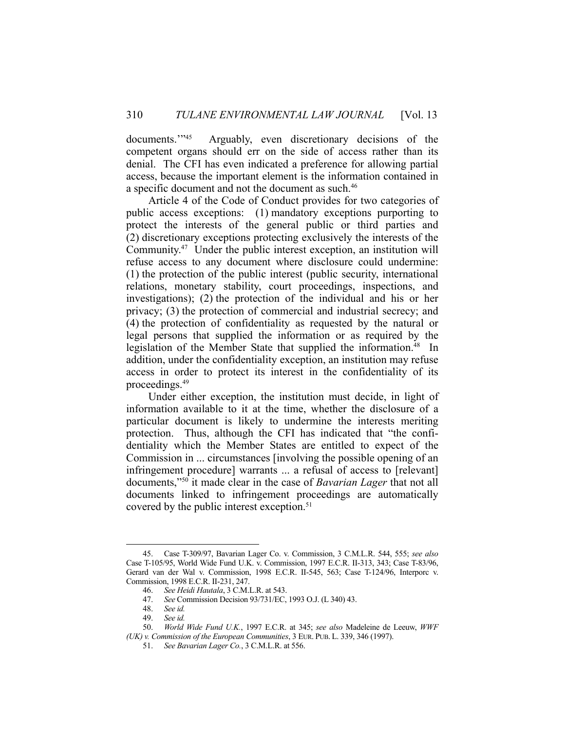documents.<sup>"45</sup> Arguably, even discretionary decisions of the competent organs should err on the side of access rather than its denial. The CFI has even indicated a preference for allowing partial access, because the important element is the information contained in a specific document and not the document as such.<sup>46</sup>

 Article 4 of the Code of Conduct provides for two categories of public access exceptions: (1) mandatory exceptions purporting to protect the interests of the general public or third parties and (2) discretionary exceptions protecting exclusively the interests of the Community.47 Under the public interest exception, an institution will refuse access to any document where disclosure could undermine: (1) the protection of the public interest (public security, international relations, monetary stability, court proceedings, inspections, and investigations); (2) the protection of the individual and his or her privacy; (3) the protection of commercial and industrial secrecy; and (4) the protection of confidentiality as requested by the natural or legal persons that supplied the information or as required by the legislation of the Member State that supplied the information.<sup>48</sup> In addition, under the confidentiality exception, an institution may refuse access in order to protect its interest in the confidentiality of its proceedings.49

 Under either exception, the institution must decide, in light of information available to it at the time, whether the disclosure of a particular document is likely to undermine the interests meriting protection. Thus, although the CFI has indicated that "the confidentiality which the Member States are entitled to expect of the Commission in ... circumstances [involving the possible opening of an infringement procedure] warrants ... a refusal of access to [relevant] documents,"50 it made clear in the case of *Bavarian Lager* that not all documents linked to infringement proceedings are automatically covered by the public interest exception.<sup>51</sup>

 <sup>45.</sup> Case T-309/97, Bavarian Lager Co. v. Commission, 3 C.M.L.R. 544, 555; *see also* Case T-105/95, World Wide Fund U.K. v. Commission, 1997 E.C.R. II-313, 343; Case T-83/96, Gerard van der Wal v. Commission, 1998 E.C.R. II-545, 563; Case T-124/96, Interporc v. Commission, 1998 E.C.R. II-231, 247.

 <sup>46.</sup> *See Heidi Hautala*, 3 C.M.L.R. at 543.

 <sup>47.</sup> *See* Commission Decision 93/731/EC, 1993 O.J. (L 340) 43.

 <sup>48.</sup> *See id.*

 <sup>49.</sup> *See id.*

 <sup>50.</sup> *World Wide Fund U.K.*, 1997 E.C.R. at 345; *see also* Madeleine de Leeuw, *WWF (UK) v. Commission of the European Communities*, 3 EUR. PUB. L. 339, 346 (1997).

 <sup>51.</sup> *See Bavarian Lager Co.*, 3 C.M.L.R. at 556.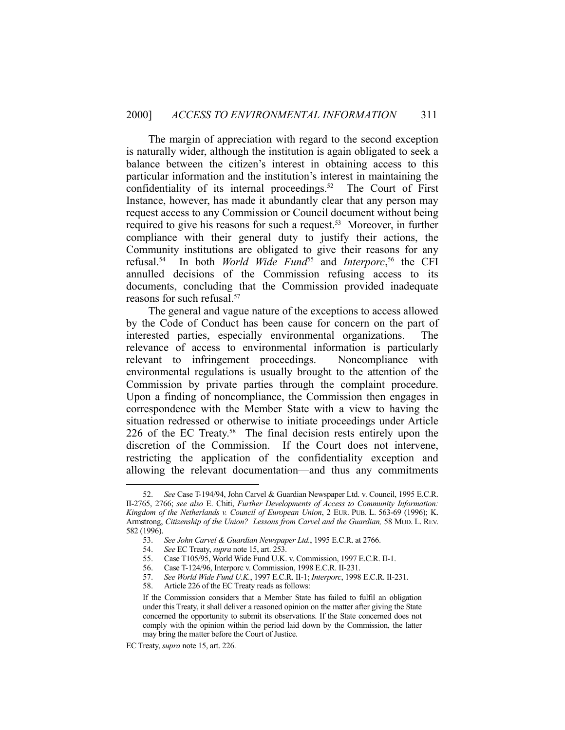The margin of appreciation with regard to the second exception is naturally wider, although the institution is again obligated to seek a balance between the citizen's interest in obtaining access to this particular information and the institution's interest in maintaining the confidentiality of its internal proceedings.<sup>52</sup> The Court of First Instance, however, has made it abundantly clear that any person may request access to any Commission or Council document without being required to give his reasons for such a request.<sup>53</sup> Moreover, in further compliance with their general duty to justify their actions, the Community institutions are obligated to give their reasons for any refusal.54 In both *World Wide Fund*55 and *Interporc*, 56 the CFI annulled decisions of the Commission refusing access to its documents, concluding that the Commission provided inadequate reasons for such refusal.57

 The general and vague nature of the exceptions to access allowed by the Code of Conduct has been cause for concern on the part of interested parties, especially environmental organizations. The relevance of access to environmental information is particularly relevant to infringement proceedings. Noncompliance with environmental regulations is usually brought to the attention of the Commission by private parties through the complaint procedure. Upon a finding of noncompliance, the Commission then engages in correspondence with the Member State with a view to having the situation redressed or otherwise to initiate proceedings under Article 226 of the EC Treaty.<sup>58</sup> The final decision rests entirely upon the discretion of the Commission. If the Court does not intervene, restricting the application of the confidentiality exception and allowing the relevant documentation—and thus any commitments

 <sup>52.</sup> *See* Case T-194/94, John Carvel & Guardian Newspaper Ltd. v. Council, 1995 E.C.R. II-2765, 2766; *see also* E. Chiti, *Further Developments of Access to Community Information: Kingdom of the Netherlands v. Council of European Union*, 2 EUR. PUB. L. 563-69 (1996); K. Armstrong, *Citizenship of the Union? Lessons from Carvel and the Guardian,* 58 MOD. L. REV. 582 (1996).

 <sup>53.</sup> *See John Carvel & Guardian Newspaper Ltd.*, 1995 E.C.R. at 2766.

 <sup>54.</sup> *See* EC Treaty, *supra* note 15, art. 253.

 <sup>55.</sup> Case T105/95, World Wide Fund U.K. v. Commission, 1997 E.C.R. II-1.

 <sup>56.</sup> Case T-124/96, Interporc v. Commission, 1998 E.C.R. II-231.

 <sup>57.</sup> *See World Wide Fund U.K.*, 1997 E.C.R. II-1; *Interporc*, 1998 E.C.R. II-231.

 <sup>58.</sup> Article 226 of the EC Treaty reads as follows:

If the Commission considers that a Member State has failed to fulfil an obligation under this Treaty, it shall deliver a reasoned opinion on the matter after giving the State concerned the opportunity to submit its observations. If the State concerned does not comply with the opinion within the period laid down by the Commission, the latter may bring the matter before the Court of Justice.

EC Treaty, *supra* note 15, art. 226.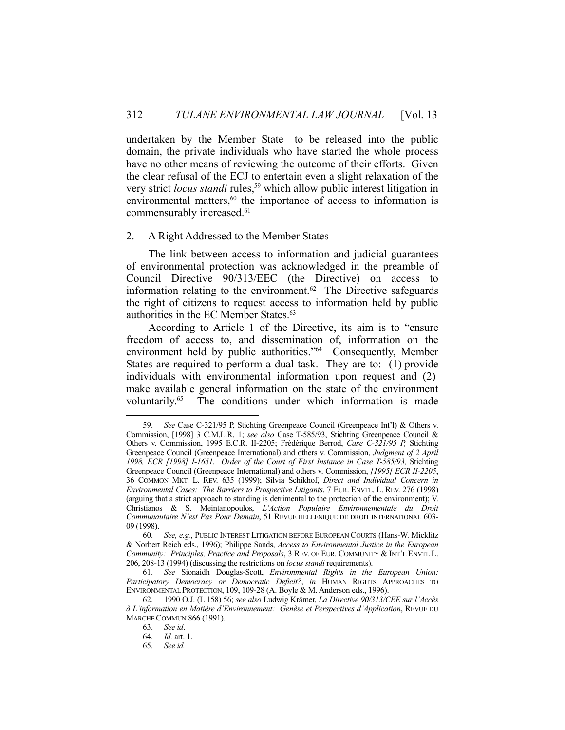undertaken by the Member State—to be released into the public domain, the private individuals who have started the whole process have no other means of reviewing the outcome of their efforts. Given the clear refusal of the ECJ to entertain even a slight relaxation of the very strict *locus standi* rules,<sup>59</sup> which allow public interest litigation in environmental matters,<sup>60</sup> the importance of access to information is commensurably increased.<sup>61</sup>

#### 2. A Right Addressed to the Member States

 The link between access to information and judicial guarantees of environmental protection was acknowledged in the preamble of Council Directive 90/313/EEC (the Directive) on access to information relating to the environment.62 The Directive safeguards the right of citizens to request access to information held by public authorities in the EC Member States.<sup>63</sup>

 According to Article 1 of the Directive, its aim is to "ensure freedom of access to, and dissemination of, information on the environment held by public authorities."64 Consequently, Member States are required to perform a dual task. They are to: (1) provide individuals with environmental information upon request and (2) make available general information on the state of the environment voluntarily.65 The conditions under which information is made

 <sup>59.</sup> *See* Case C-321/95 P, Stichting Greenpeace Council (Greenpeace Int'l) & Others v. Commission, [1998] 3 C.M.L.R. 1; *see also* Case T-585/93, Stichting Greenpeace Council & Others v. Commission, 1995 E.C.R. II-2205; Frédérique Berrod, *Case C-321/95 P,* Stichting Greenpeace Council (Greenpeace International) and others v. Commission, *Judgment of 2 April 1998, ECR [1998] I-1651. Order of the Court of First Instance in Case T-585/93,* Stichting Greenpeace Council (Greenpeace International) and others v. Commission, *[1995] ECR II-2205*, 36 COMMON MKT. L. REV. 635 (1999); Silvia Schikhof, *Direct and Individual Concern in Environmental Cases: The Barriers to Prospective Litigants*, 7 EUR. ENVTL. L. REV. 276 (1998) (arguing that a strict approach to standing is detrimental to the protection of the environment); V. Christianos & S. Meintanopoulos, *L'Action Populaire Environnementale du Droit Communautaire N'est Pas Pour Demain*, 51 REVUE HELLENIQUE DE DROIT INTERNATIONAL 603- 09 (1998).

 <sup>60.</sup> *See, e.g.*, PUBLIC INTEREST LITIGATION BEFORE EUROPEAN COURTS (Hans-W. Micklitz & Norbert Reich eds., 1996); Philippe Sands, *Access to Environmental Justice in the European Community: Principles, Practice and Proposals*, 3 REV. OF EUR. COMMUNITY & INT'L ENVTL L. 206, 208-13 (1994) (discussing the restrictions on *locus standi* requirements).

 <sup>61.</sup> *See* Sionaidh Douglas-Scott, *Environmental Rights in the European Union: Participatory Democracy or Democratic Deficit?*, *in* HUMAN RIGHTS APPROACHES TO ENVIRONMENTAL PROTECTION, 109, 109-28 (A. Boyle & M. Anderson eds., 1996).

 <sup>62. 1990</sup> O.J. (L 158) 56; *see also* Ludwig Krämer, *La Directive 90/313/CEE sur l'Accès à L'information en Matière d'Environnement: Genèse et Perspectives d'Application*, REVUE DU MARCHE COMMUN 866 (1991).

 <sup>63.</sup> *See id*.

 <sup>64.</sup> *Id.* art. 1.

 <sup>65.</sup> *See id.*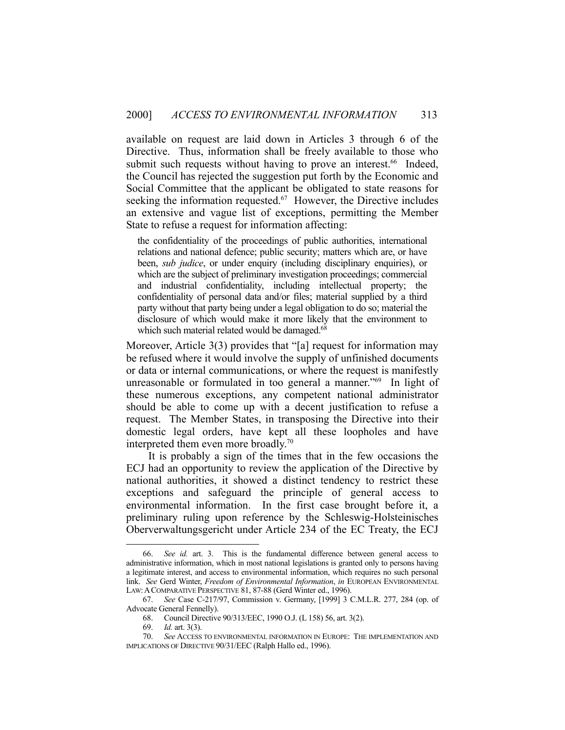available on request are laid down in Articles 3 through 6 of the Directive. Thus, information shall be freely available to those who submit such requests without having to prove an interest.<sup>66</sup> Indeed, the Council has rejected the suggestion put forth by the Economic and Social Committee that the applicant be obligated to state reasons for seeking the information requested. $67$  However, the Directive includes an extensive and vague list of exceptions, permitting the Member State to refuse a request for information affecting:

the confidentiality of the proceedings of public authorities, international relations and national defence; public security; matters which are, or have been, *sub judice*, or under enquiry (including disciplinary enquiries), or which are the subject of preliminary investigation proceedings; commercial and industrial confidentiality, including intellectual property; the confidentiality of personal data and/or files; material supplied by a third party without that party being under a legal obligation to do so; material the disclosure of which would make it more likely that the environment to which such material related would be damaged.<sup>68</sup>

Moreover, Article 3(3) provides that "[a] request for information may be refused where it would involve the supply of unfinished documents or data or internal communications, or where the request is manifestly unreasonable or formulated in too general a manner."<sup>69</sup> In light of these numerous exceptions, any competent national administrator should be able to come up with a decent justification to refuse a request. The Member States, in transposing the Directive into their domestic legal orders, have kept all these loopholes and have interpreted them even more broadly.70

 It is probably a sign of the times that in the few occasions the ECJ had an opportunity to review the application of the Directive by national authorities, it showed a distinct tendency to restrict these exceptions and safeguard the principle of general access to environmental information. In the first case brought before it, a preliminary ruling upon reference by the Schleswig-Holsteinisches Oberverwaltungsgericht under Article 234 of the EC Treaty, the ECJ

 <sup>66.</sup> *See id.* art. 3. This is the fundamental difference between general access to administrative information, which in most national legislations is granted only to persons having a legitimate interest, and access to environmental information, which requires no such personal link. *See* Gerd Winter, *Freedom of Environmental Information*, *in* EUROPEAN ENVIRONMENTAL LAW:ACOMPARATIVE PERSPECTIVE 81, 87-88 (Gerd Winter ed., 1996).

 <sup>67.</sup> *See* Case C-217/97, Commission v. Germany, [1999] 3 C.M.L.R. 277, 284 (op. of Advocate General Fennelly).

 <sup>68.</sup> Council Directive 90/313/EEC, 1990 O.J. (L 158) 56, art. 3(2).

 <sup>69.</sup> *Id.* art. 3(3).

 <sup>70.</sup> *See* ACCESS TO ENVIRONMENTAL INFORMATION IN EUROPE: THE IMPLEMENTATION AND IMPLICATIONS OF DIRECTIVE 90/31/EEC (Ralph Hallo ed., 1996).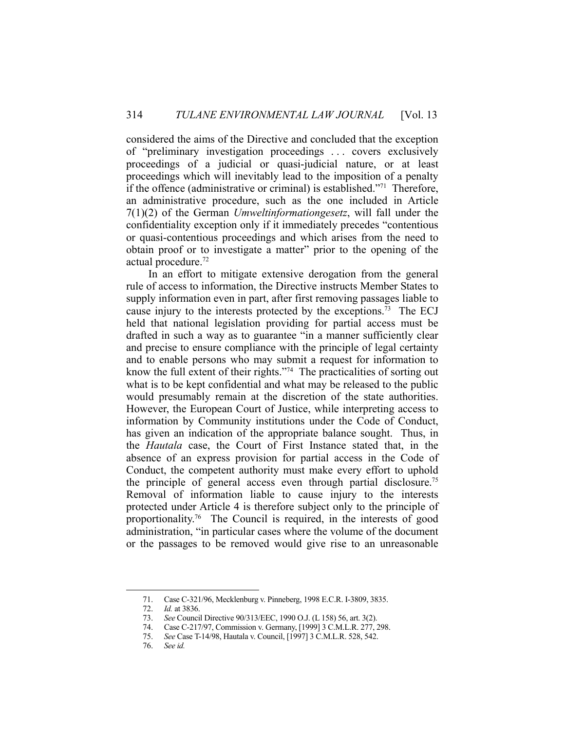considered the aims of the Directive and concluded that the exception of "preliminary investigation proceedings . . . covers exclusively proceedings of a judicial or quasi-judicial nature, or at least proceedings which will inevitably lead to the imposition of a penalty if the offence (administrative or criminal) is established."71 Therefore, an administrative procedure, such as the one included in Article 7(1)(2) of the German *Umweltinformationgesetz*, will fall under the confidentiality exception only if it immediately precedes "contentious or quasi-contentious proceedings and which arises from the need to obtain proof or to investigate a matter" prior to the opening of the actual procedure.72

 In an effort to mitigate extensive derogation from the general rule of access to information, the Directive instructs Member States to supply information even in part, after first removing passages liable to cause injury to the interests protected by the exceptions.<sup>73</sup> The ECJ held that national legislation providing for partial access must be drafted in such a way as to guarantee "in a manner sufficiently clear and precise to ensure compliance with the principle of legal certainty and to enable persons who may submit a request for information to know the full extent of their rights."74 The practicalities of sorting out what is to be kept confidential and what may be released to the public would presumably remain at the discretion of the state authorities. However, the European Court of Justice, while interpreting access to information by Community institutions under the Code of Conduct, has given an indication of the appropriate balance sought. Thus, in the *Hautala* case, the Court of First Instance stated that, in the absence of an express provision for partial access in the Code of Conduct, the competent authority must make every effort to uphold the principle of general access even through partial disclosure.<sup>75</sup> Removal of information liable to cause injury to the interests protected under Article 4 is therefore subject only to the principle of proportionality.76 The Council is required, in the interests of good administration, "in particular cases where the volume of the document or the passages to be removed would give rise to an unreasonable

 <sup>71.</sup> Case C-321/96, Mecklenburg v. Pinneberg, 1998 E.C.R. I-3809, 3835.

 <sup>72.</sup> *Id.* at 3836.

 <sup>73.</sup> *See* Council Directive 90/313/EEC, 1990 O.J. (L 158) 56, art. 3(2).

 <sup>74.</sup> Case C-217/97, Commission v. Germany, [1999] 3 C.M.L.R. 277, 298.

 <sup>75.</sup> *See* Case T-14/98, Hautala v. Council, [1997] 3 C.M.L.R. 528, 542.

 <sup>76.</sup> *See id.*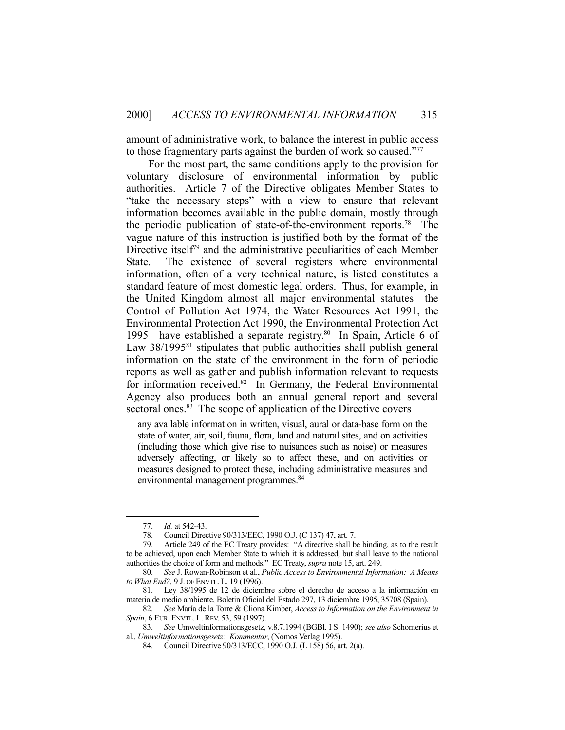amount of administrative work, to balance the interest in public access to those fragmentary parts against the burden of work so caused."77

 For the most part, the same conditions apply to the provision for voluntary disclosure of environmental information by public authorities. Article 7 of the Directive obligates Member States to "take the necessary steps" with a view to ensure that relevant information becomes available in the public domain, mostly through the periodic publication of state-of-the-environment reports.<sup>78</sup> The vague nature of this instruction is justified both by the format of the Directive itself<sup>79</sup> and the administrative peculiarities of each Member State. The existence of several registers where environmental information, often of a very technical nature, is listed constitutes a standard feature of most domestic legal orders. Thus, for example, in the United Kingdom almost all major environmental statutes—the Control of Pollution Act 1974, the Water Resources Act 1991, the Environmental Protection Act 1990, the Environmental Protection Act 1995—have established a separate registry.<sup>80</sup> In Spain, Article 6 of Law  $38/1995^{81}$  stipulates that public authorities shall publish general information on the state of the environment in the form of periodic reports as well as gather and publish information relevant to requests for information received.<sup>82</sup> In Germany, the Federal Environmental Agency also produces both an annual general report and several sectoral ones.<sup>83</sup> The scope of application of the Directive covers

any available information in written, visual, aural or data-base form on the state of water, air, soil, fauna, flora, land and natural sites, and on activities (including those which give rise to nuisances such as noise) or measures adversely affecting, or likely so to affect these, and on activities or measures designed to protect these, including administrative measures and environmental management programmes.<sup>84</sup>

 <sup>77.</sup> *Id.* at 542-43.

 <sup>78.</sup> Council Directive 90/313/EEC, 1990 O.J. (C 137) 47, art. 7.

 <sup>79.</sup> Article 249 of the EC Treaty provides: "A directive shall be binding, as to the result to be achieved, upon each Member State to which it is addressed, but shall leave to the national authorities the choice of form and methods." EC Treaty, *supra* note 15, art. 249.

 <sup>80.</sup> *See* J. Rowan-Robinson et al., *Public Access to Environmental Information: A Means to What End?*, 9 J. OF ENVTL. L. 19 (1996).

 <sup>81.</sup> Ley 38/1995 de 12 de diciembre sobre el derecho de acceso a la información en materia de medio ambiente, Boletin Oficial del Estado 297, 13 diciembre 1995, 35708 (Spain).

 <sup>82.</sup> *See* María de la Torre & Cliona Kimber, *Access to Information on the Environment in Spain*, 6 EUR. ENVTL. L. REV. 53, 59 (1997).

 <sup>83.</sup> *See* Umweltinformationsgesetz, v.8.7.1994 (BGBl. I S. 1490); *see also* Schomerius et al., *Umweltinformationsgesetz: Kommentar*, (Nomos Verlag 1995).

 <sup>84.</sup> Council Directive 90/313/ECC, 1990 O.J. (L 158) 56, art. 2(a).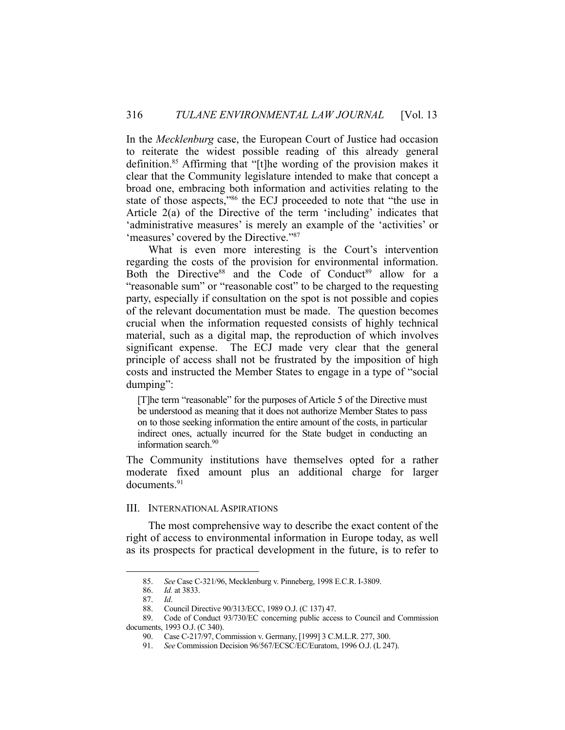In the *Mecklenburg* case, the European Court of Justice had occasion to reiterate the widest possible reading of this already general definition.<sup>85</sup> Affirming that "[t]he wording of the provision makes it clear that the Community legislature intended to make that concept a broad one, embracing both information and activities relating to the state of those aspects,"86 the ECJ proceeded to note that "the use in Article 2(a) of the Directive of the term 'including' indicates that 'administrative measures' is merely an example of the 'activities' or 'measures' covered by the Directive."87

What is even more interesting is the Court's intervention regarding the costs of the provision for environmental information. Both the Directive<sup>88</sup> and the Code of Conduct<sup>89</sup> allow for a "reasonable sum" or "reasonable cost" to be charged to the requesting party, especially if consultation on the spot is not possible and copies of the relevant documentation must be made. The question becomes crucial when the information requested consists of highly technical material, such as a digital map, the reproduction of which involves significant expense. The ECJ made very clear that the general principle of access shall not be frustrated by the imposition of high costs and instructed the Member States to engage in a type of "social dumping":

[T]he term "reasonable" for the purposes of Article 5 of the Directive must be understood as meaning that it does not authorize Member States to pass on to those seeking information the entire amount of the costs, in particular indirect ones, actually incurred for the State budget in conducting an information search.<sup>90</sup>

The Community institutions have themselves opted for a rather moderate fixed amount plus an additional charge for larger documents.91

#### III. INTERNATIONAL ASPIRATIONS

 The most comprehensive way to describe the exact content of the right of access to environmental information in Europe today, as well as its prospects for practical development in the future, is to refer to

 <sup>85.</sup> *See* Case C-321/96, Mecklenburg v. Pinneberg, 1998 E.C.R. I-3809.

 <sup>86.</sup> *Id.* at 3833.

 <sup>87.</sup> *Id*.

 <sup>88.</sup> Council Directive 90/313/ECC, 1989 O.J. (C 137) 47.

 <sup>89.</sup> Code of Conduct 93/730/EC concerning public access to Council and Commission documents, 1993 O.J. (C 340).

 <sup>90.</sup> Case C-217/97, Commission v. Germany, [1999] 3 C.M.L.R. 277, 300.

 <sup>91.</sup> *See* Commission Decision 96/567/ECSC/EC/Euratom, 1996 O.J. (L 247).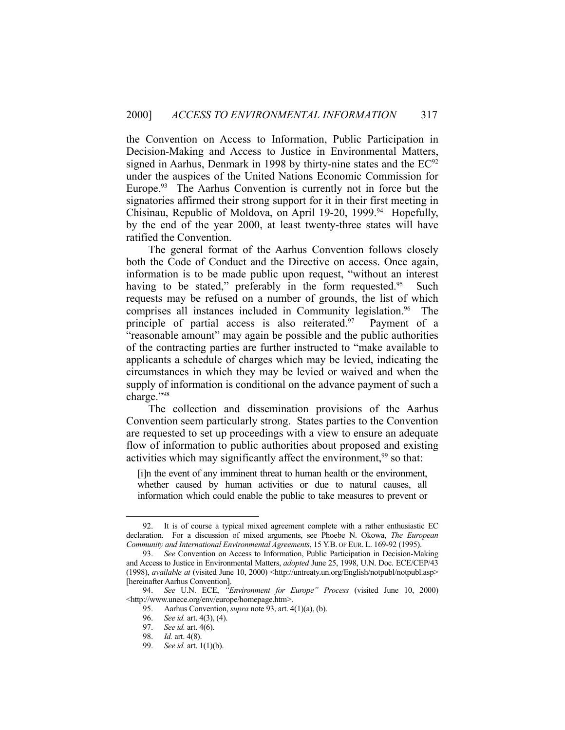the Convention on Access to Information, Public Participation in Decision-Making and Access to Justice in Environmental Matters, signed in Aarhus, Denmark in 1998 by thirty-nine states and the  $EC^{92}$ under the auspices of the United Nations Economic Commission for Europe. $93$  The Aarhus Convention is currently not in force but the signatories affirmed their strong support for it in their first meeting in Chisinau, Republic of Moldova, on April 19-20, 1999.<sup>94</sup> Hopefully, by the end of the year 2000, at least twenty-three states will have ratified the Convention.

 The general format of the Aarhus Convention follows closely both the Code of Conduct and the Directive on access. Once again, information is to be made public upon request, "without an interest having to be stated," preferably in the form requested.<sup>95</sup> Such requests may be refused on a number of grounds, the list of which comprises all instances included in Community legislation.<sup>96</sup> The principle of partial access is also reiterated. $97$  Payment of a "reasonable amount" may again be possible and the public authorities of the contracting parties are further instructed to "make available to applicants a schedule of charges which may be levied, indicating the circumstances in which they may be levied or waived and when the supply of information is conditional on the advance payment of such a charge."98

 The collection and dissemination provisions of the Aarhus Convention seem particularly strong. States parties to the Convention are requested to set up proceedings with a view to ensure an adequate flow of information to public authorities about proposed and existing activities which may significantly affect the environment,<sup>99</sup> so that:

[i]n the event of any imminent threat to human health or the environment, whether caused by human activities or due to natural causes, all information which could enable the public to take measures to prevent or

 <sup>92.</sup> It is of course a typical mixed agreement complete with a rather enthusiastic EC declaration. For a discussion of mixed arguments, see Phoebe N. Okowa, *The European Community and International Environmental Agreements*, 15 Y.B. OF EUR. L. 169-92 (1995).

 <sup>93.</sup> *See* Convention on Access to Information, Public Participation in Decision-Making and Access to Justice in Environmental Matters, *adopted* June 25, 1998, U.N. Doc. ECE/CEP/43 (1998), *available at* (visited June 10, 2000) <http://untreaty.un.org/English/notpubl/notpubl.asp> [hereinafter Aarhus Convention].

 <sup>94.</sup> *See* U.N. ECE, *"Environment for Europe" Process* (visited June 10, 2000) <http://www.unece.org/env/europe/homepage.htm>.

 <sup>95.</sup> Aarhus Convention, *supra* note 93, art. 4(1)(a), (b).

 <sup>96.</sup> *See id.* art. 4(3), (4).

 <sup>97.</sup> *See id.* art. 4(6).

 <sup>98.</sup> *Id.* art. 4(8).

 <sup>99.</sup> *See id.* art. 1(1)(b).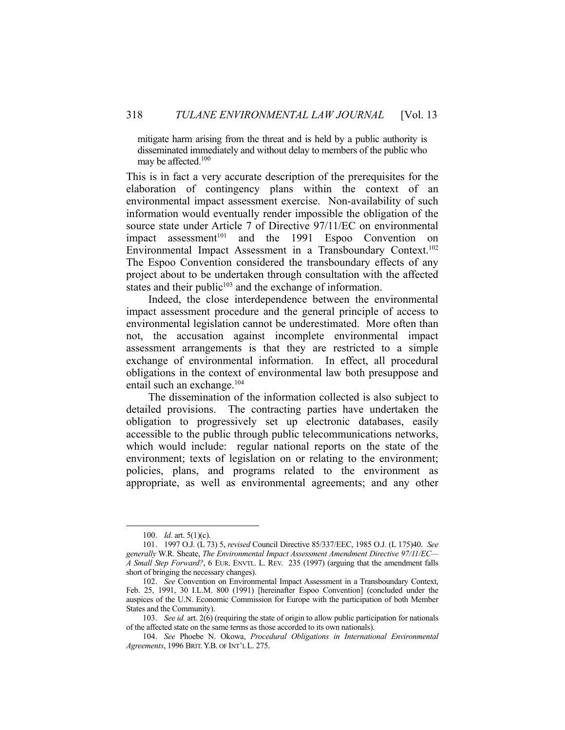mitigate harm arising from the threat and is held by a public authority is disseminated immediately and without delay to members of the public who may be affected.100

This is in fact a very accurate description of the prerequisites for the elaboration of contingency plans within the context of an environmental impact assessment exercise. Non-availability of such information would eventually render impossible the obligation of the source state under Article 7 of Directive 97/11/EC on environmental impact assessment<sup>101</sup> and the 1991 Espoo Convention on Environmental Impact Assessment in a Transboundary Context.102 The Espoo Convention considered the transboundary effects of any project about to be undertaken through consultation with the affected states and their public $103$  and the exchange of information.

 Indeed, the close interdependence between the environmental impact assessment procedure and the general principle of access to environmental legislation cannot be underestimated. More often than not, the accusation against incomplete environmental impact assessment arrangements is that they are restricted to a simple exchange of environmental information. In effect, all procedural obligations in the context of environmental law both presuppose and entail such an exchange.<sup>104</sup>

 The dissemination of the information collected is also subject to detailed provisions. The contracting parties have undertaken the obligation to progressively set up electronic databases, easily accessible to the public through public telecommunications networks, which would include: regular national reports on the state of the environment; texts of legislation on or relating to the environment; policies, plans, and programs related to the environment as appropriate, as well as environmental agreements; and any other

 <sup>100.</sup> *Id.* art. 5(1)(c).

 <sup>101. 1997</sup> O.J. (L 73) 5, *revised* Council Directive 85/337/EEC, 1985 O.J. (L 175)40. *See generally* W.R. Sheate, *The Environmental Impact Assessment Amendment Directive 97/11/EC— A Small Step Forward?*, 6 EUR. ENVTL. L. REV. 235 (1997) (arguing that the amendment falls short of bringing the necessary changes).

 <sup>102.</sup> *See* Convention on Environmental Impact Assessment in a Transboundary Context, Feb. 25, 1991, 30 I.L.M. 800 (1991) [hereinafter Espoo Convention] (concluded under the auspices of the U.N. Economic Commission for Europe with the participation of both Member States and the Community).

 <sup>103.</sup> *See id.* art. 2(6) (requiring the state of origin to allow public participation for nationals of the affected state on the same terms as those accorded to its own nationals).

 <sup>104.</sup> *See* Phoebe N. Okowa, *Procedural Obligations in International Environmental Agreements*, 1996 BRIT.Y.B. OF INT'L L. 275.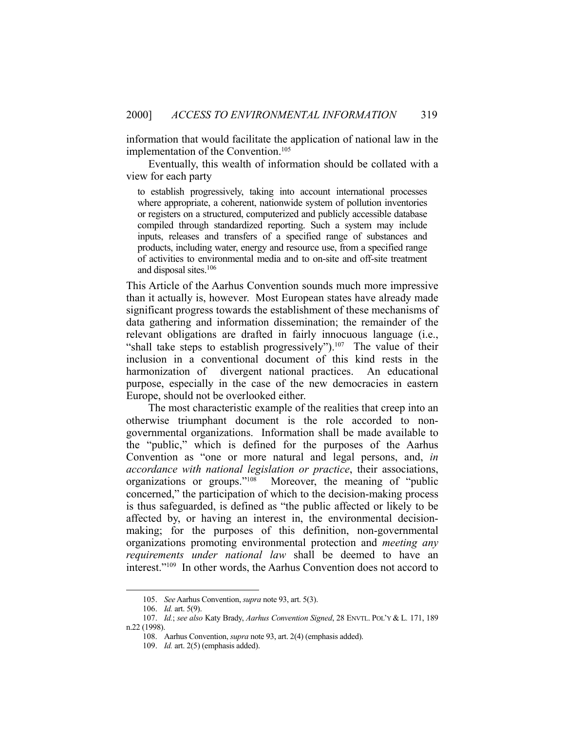information that would facilitate the application of national law in the implementation of the Convention.<sup>105</sup>

 Eventually, this wealth of information should be collated with a view for each party

to establish progressively, taking into account international processes where appropriate, a coherent, nationwide system of pollution inventories or registers on a structured, computerized and publicly accessible database compiled through standardized reporting. Such a system may include inputs, releases and transfers of a specified range of substances and products, including water, energy and resource use, from a specified range of activities to environmental media and to on-site and off-site treatment and disposal sites.106

This Article of the Aarhus Convention sounds much more impressive than it actually is, however. Most European states have already made significant progress towards the establishment of these mechanisms of data gathering and information dissemination; the remainder of the relevant obligations are drafted in fairly innocuous language (i.e., "shall take steps to establish progressively").<sup>107</sup> The value of their inclusion in a conventional document of this kind rests in the harmonization of divergent national practices. An educational purpose, especially in the case of the new democracies in eastern Europe, should not be overlooked either.

 The most characteristic example of the realities that creep into an otherwise triumphant document is the role accorded to nongovernmental organizations. Information shall be made available to the "public," which is defined for the purposes of the Aarhus Convention as "one or more natural and legal persons, and, *in accordance with national legislation or practice*, their associations, organizations or groups."<sup>108</sup> Moreover, the meaning of "public Moreover, the meaning of "public concerned," the participation of which to the decision-making process is thus safeguarded, is defined as "the public affected or likely to be affected by, or having an interest in, the environmental decisionmaking; for the purposes of this definition, non-governmental organizations promoting environmental protection and *meeting any requirements under national law* shall be deemed to have an interest."109 In other words, the Aarhus Convention does not accord to

 <sup>105.</sup> *See* Aarhus Convention, *supra* note 93, art. 5(3).

 <sup>106.</sup> *Id.* art. 5(9).

 <sup>107.</sup> *Id.*; *see also* Katy Brady, *Aarhus Convention Signed*, 28 ENVTL. POL'Y & L*.* 171, 189 n.22 (1998).

 <sup>108.</sup> Aarhus Convention, *supra* note 93, art. 2(4) (emphasis added).

 <sup>109.</sup> *Id.* art. 2(5) (emphasis added).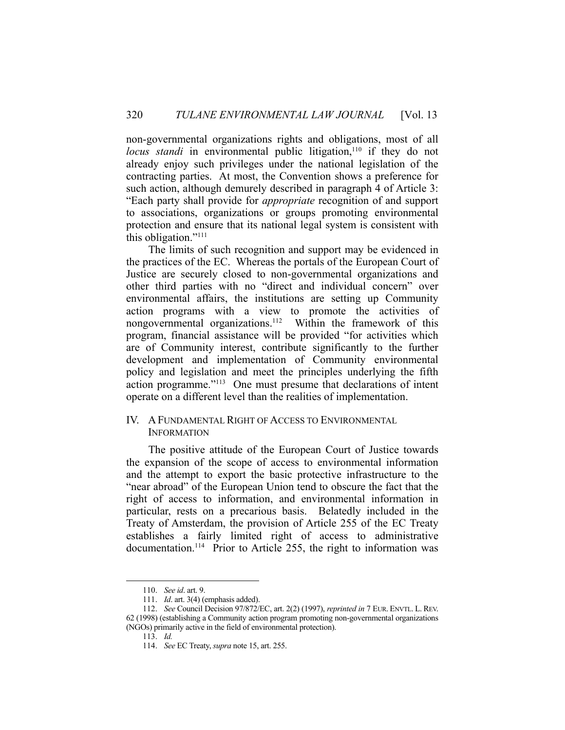non-governmental organizations rights and obligations, most of all *locus standi* in environmental public litigation,<sup>110</sup> if they do not already enjoy such privileges under the national legislation of the contracting parties. At most, the Convention shows a preference for such action, although demurely described in paragraph 4 of Article 3: "Each party shall provide for *appropriate* recognition of and support to associations, organizations or groups promoting environmental protection and ensure that its national legal system is consistent with this obligation."111

 The limits of such recognition and support may be evidenced in the practices of the EC. Whereas the portals of the European Court of Justice are securely closed to non-governmental organizations and other third parties with no "direct and individual concern" over environmental affairs, the institutions are setting up Community action programs with a view to promote the activities of nongovernmental organizations.112 Within the framework of this program, financial assistance will be provided "for activities which are of Community interest, contribute significantly to the further development and implementation of Community environmental policy and legislation and meet the principles underlying the fifth action programme."113 One must presume that declarations of intent operate on a different level than the realities of implementation.

## IV. AFUNDAMENTAL RIGHT OF ACCESS TO ENVIRONMENTAL **INFORMATION**

 The positive attitude of the European Court of Justice towards the expansion of the scope of access to environmental information and the attempt to export the basic protective infrastructure to the "near abroad" of the European Union tend to obscure the fact that the right of access to information, and environmental information in particular, rests on a precarious basis. Belatedly included in the Treaty of Amsterdam, the provision of Article 255 of the EC Treaty establishes a fairly limited right of access to administrative documentation.<sup>114</sup> Prior to Article 255, the right to information was

 <sup>110.</sup> *See id*. art. 9.

 <sup>111.</sup> *Id*. art. 3(4) (emphasis added).

 <sup>112.</sup> *See* Council Decision 97/872/EC, art. 2(2) (1997), *reprinted in* 7 EUR. ENVTL. L. REV. 62 (1998) (establishing a Community action program promoting non-governmental organizations (NGOs) primarily active in the field of environmental protection).

 <sup>113.</sup> *Id.*

 <sup>114.</sup> *See* EC Treaty, *supra* note 15, art. 255.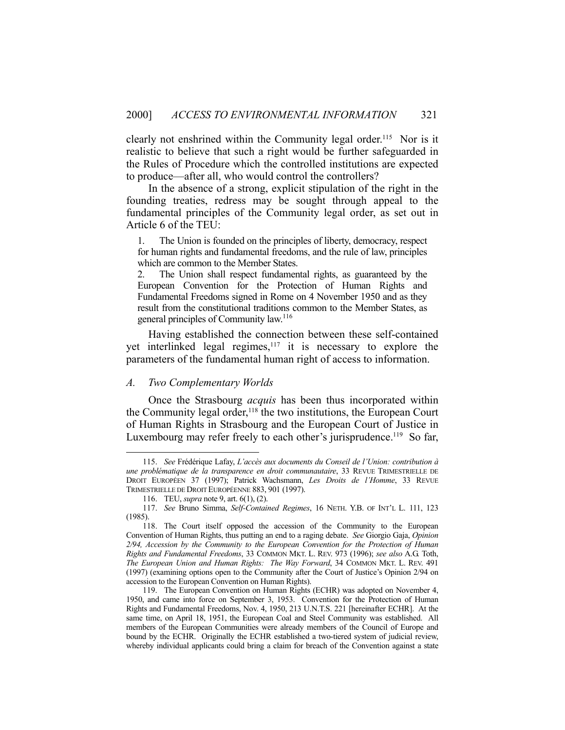clearly not enshrined within the Community legal order.<sup>115</sup> Nor is it realistic to believe that such a right would be further safeguarded in the Rules of Procedure which the controlled institutions are expected to produce—after all, who would control the controllers?

 In the absence of a strong, explicit stipulation of the right in the founding treaties, redress may be sought through appeal to the fundamental principles of the Community legal order, as set out in Article 6 of the TEU:

1. The Union is founded on the principles of liberty, democracy, respect for human rights and fundamental freedoms, and the rule of law, principles which are common to the Member States.

2. The Union shall respect fundamental rights, as guaranteed by the European Convention for the Protection of Human Rights and Fundamental Freedoms signed in Rome on 4 November 1950 and as they result from the constitutional traditions common to the Member States, as general principles of Community law.116

 Having established the connection between these self-contained yet interlinked legal regimes, $117$  it is necessary to explore the parameters of the fundamental human right of access to information.

#### *A. Two Complementary Worlds*

 Once the Strasbourg *acquis* has been thus incorporated within the Community legal order,<sup>118</sup> the two institutions, the European Court of Human Rights in Strasbourg and the European Court of Justice in Luxembourg may refer freely to each other's jurisprudence.<sup>119</sup> So far,

 <sup>115.</sup> *See* Frédérique Lafay, *L'accès aux documents du Conseil de l'Union: contribution à une problématique de la transparence en droit communautaire*, 33 REVUE TRIMESTRIELLE DE DROIT EUROPÉEN 37 (1997); Patrick Wachsmann, *Les Droits de l'Homme*, 33 REVUE TRIMESTRIELLE DE DROIT EUROPÉENNE 883, 901 (1997).

 <sup>116.</sup> TEU, *supra* note 9, art. 6(1), (2).

 <sup>117.</sup> *See* Bruno Simma, *Self-Contained Regimes*, 16 NETH. Y.B. OF INT'L L. 111, 123 (1985).

 <sup>118.</sup> The Court itself opposed the accession of the Community to the European Convention of Human Rights, thus putting an end to a raging debate. *See* Giorgio Gaja, *Opinion 2/94, Accession by the Community to the European Convention for the Protection of Human Rights and Fundamental Freedoms*, 33 COMMON MKT. L. REV. 973 (1996); *see also* A.G. Toth, *The European Union and Human Rights: The Way Forward*, 34 COMMON MKT. L. REV. 491 (1997) (examining options open to the Community after the Court of Justice's Opinion 2/94 on accession to the European Convention on Human Rights).

 <sup>119.</sup> The European Convention on Human Rights (ECHR) was adopted on November 4, 1950, and came into force on September 3, 1953. Convention for the Protection of Human Rights and Fundamental Freedoms, Nov. 4, 1950, 213 U.N.T.S. 221 [hereinafter ECHR]. At the same time, on April 18, 1951, the European Coal and Steel Community was established. All members of the European Communities were already members of the Council of Europe and bound by the ECHR. Originally the ECHR established a two-tiered system of judicial review, whereby individual applicants could bring a claim for breach of the Convention against a state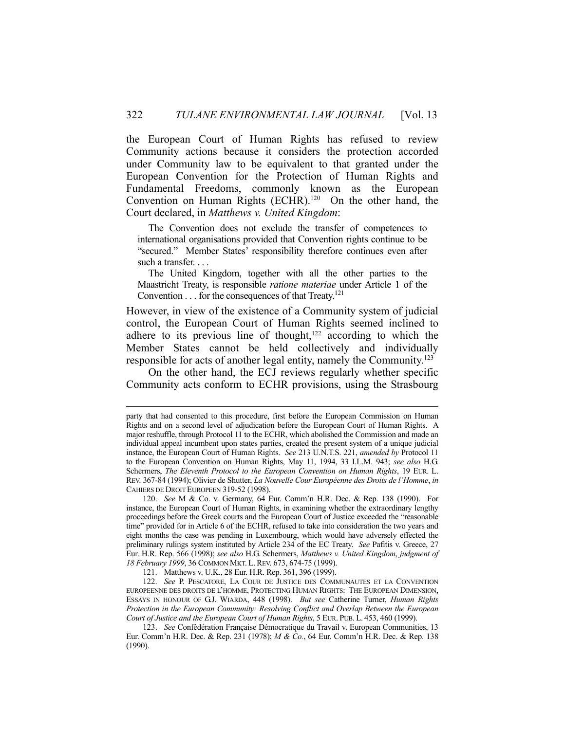the European Court of Human Rights has refused to review Community actions because it considers the protection accorded under Community law to be equivalent to that granted under the European Convention for the Protection of Human Rights and Fundamental Freedoms, commonly known as the European Convention on Human Rights (ECHR).<sup>120</sup> On the other hand, the Court declared, in *Matthews v. United Kingdom*:

 The Convention does not exclude the transfer of competences to international organisations provided that Convention rights continue to be "secured." Member States' responsibility therefore continues even after such a transfer. . . .

 The United Kingdom, together with all the other parties to the Maastricht Treaty, is responsible *ratione materiae* under Article 1 of the Convention  $\dots$  for the consequences of that Treaty.<sup>121</sup>

However, in view of the existence of a Community system of judicial control, the European Court of Human Rights seemed inclined to adhere to its previous line of thought, $122$  according to which the Member States cannot be held collectively and individually responsible for acts of another legal entity, namely the Community.123

 On the other hand, the ECJ reviews regularly whether specific Community acts conform to ECHR provisions, using the Strasbourg

party that had consented to this procedure, first before the European Commission on Human Rights and on a second level of adjudication before the European Court of Human Rights. A major reshuffle, through Protocol 11 to the ECHR, which abolished the Commission and made an individual appeal incumbent upon states parties, created the present system of a unique judicial instance, the European Court of Human Rights. *See* 213 U.N.T.S. 221, *amended by* Protocol 11 to the European Convention on Human Rights, May 11, 1994, 33 I.L.M. 943; *see also* H.G. Schermers, *The Eleventh Protocol to the European Convention on Human Rights*, 19 EUR. L. REV. 367-84 (1994); Olivier de Shutter, *La Nouvelle Cour Européenne des Droits de l'Homme*, *in*  CAHIERS DE DROIT EUROPEEN 319-52 (1998).

 <sup>120.</sup> *See* M & Co. v. Germany, 64 Eur. Comm'n H.R. Dec. & Rep. 138 (1990). For instance, the European Court of Human Rights, in examining whether the extraordinary lengthy proceedings before the Greek courts and the European Court of Justice exceeded the "reasonable time" provided for in Article 6 of the ECHR, refused to take into consideration the two years and eight months the case was pending in Luxembourg, which would have adversely effected the preliminary rulings system instituted by Article 234 of the EC Treaty. *See* Pafitis v. Greece, 27 Eur. H.R. Rep. 566 (1998); *see also* H.G. Schermers, *Matthews v. United Kingdom*, *judgment of 18 February 1999*, 36 COMMON MKT. L.REV. 673, 674-75 (1999).

 <sup>121.</sup> Matthews v. U.K., 28 Eur. H.R. Rep. 361, 396 (1999).

 <sup>122.</sup> *See* P. PESCATORE, LA COUR DE JUSTICE DES COMMUNAUTES ET LA CONVENTION EUROPEENNE DES DROITS DE L'HOMME, PROTECTING HUMAN RIGHTS: THE EUROPEAN DIMENSION, ESSAYS IN HONOUR OF G.J. WIARDA, 448 (1998). *But see* Catherine Turner, *Human Rights Protection in the European Community: Resolving Conflict and Overlap Between the European Court of Justice and the European Court of Human Rights*, 5 EUR. PUB. L. 453, 460 (1999).

 <sup>123.</sup> *See* Confédération Française Démocratique du Travail v. European Communities, 13 Eur. Comm'n H.R. Dec. & Rep. 231 (1978); *M & Co.*, 64 Eur. Comm'n H.R. Dec. & Rep. 138 (1990).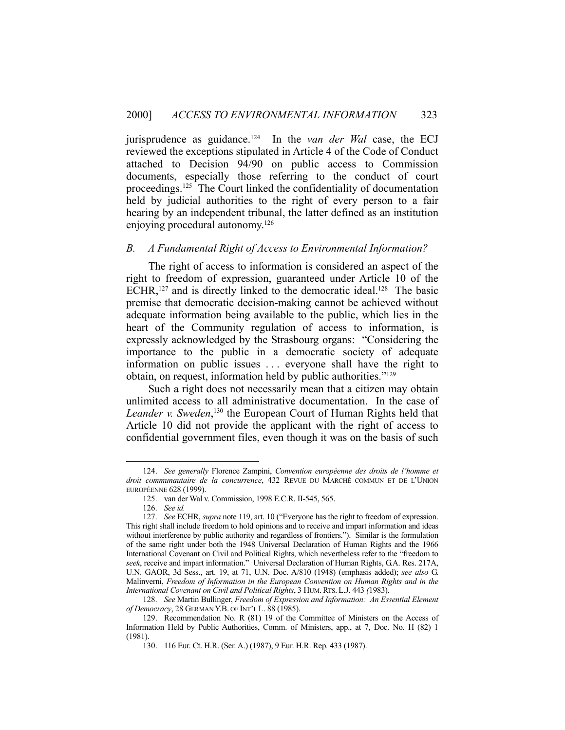jurisprudence as guidance.124 In the *van der Wal* case, the ECJ reviewed the exceptions stipulated in Article 4 of the Code of Conduct attached to Decision 94/90 on public access to Commission documents, especially those referring to the conduct of court proceedings.125 The Court linked the confidentiality of documentation held by judicial authorities to the right of every person to a fair hearing by an independent tribunal, the latter defined as an institution enjoying procedural autonomy.126

## *B. A Fundamental Right of Access to Environmental Information?*

 The right of access to information is considered an aspect of the right to freedom of expression, guaranteed under Article 10 of the ECHR,<sup>127</sup> and is directly linked to the democratic ideal.<sup>128</sup> The basic premise that democratic decision-making cannot be achieved without adequate information being available to the public, which lies in the heart of the Community regulation of access to information, is expressly acknowledged by the Strasbourg organs: "Considering the importance to the public in a democratic society of adequate information on public issues . . . everyone shall have the right to obtain, on request, information held by public authorities."129

 Such a right does not necessarily mean that a citizen may obtain unlimited access to all administrative documentation. In the case of Leander v. Sweden,<sup>130</sup> the European Court of Human Rights held that Article 10 did not provide the applicant with the right of access to confidential government files, even though it was on the basis of such

 <sup>124.</sup> *See generally* Florence Zampini, *Convention européenne des droits de l'homme et droit communautaire de la concurrence*, 432 REVUE DU MARCHÉ COMMUN ET DE L'UNION EUROPÉENNE 628 (1999).

 <sup>125.</sup> van der Wal v. Commission, 1998 E.C.R. II-545, 565.

 <sup>126.</sup> *See id.*

 <sup>127.</sup> *See* ECHR, *supra* note 119, art. 10 ("Everyone has the right to freedom of expression. This right shall include freedom to hold opinions and to receive and impart information and ideas without interference by public authority and regardless of frontiers."). Similar is the formulation of the same right under both the 1948 Universal Declaration of Human Rights and the 1966 International Covenant on Civil and Political Rights, which nevertheless refer to the "freedom to *seek*, receive and impart information." Universal Declaration of Human Rights, G.A. Res. 217A, U.N. GAOR, 3d Sess., art. 19, at 71, U.N. Doc. A/810 (1948) (emphasis added); *see also* G. Malinverni, *Freedom of Information in the European Convention on Human Rights and in the International Covenant on Civil and Political Rights*, 3 HUM.RTS. L.J. 443 *(*1983).

 <sup>128.</sup> *See* Martin Bullinger, *Freedom of Expression and Information: An Essential Element of Democracy*, 28 GERMAN Y.B. OF INT'L L. 88 (1985).

 <sup>129.</sup> Recommendation No. R (81) 19 of the Committee of Ministers on the Access of Information Held by Public Authorities, Comm. of Ministers, app., at 7, Doc. No. H (82) 1 (1981).

 <sup>130. 116</sup> Eur. Ct. H.R. (Ser. A.) (1987), 9 Eur. H.R. Rep. 433 (1987).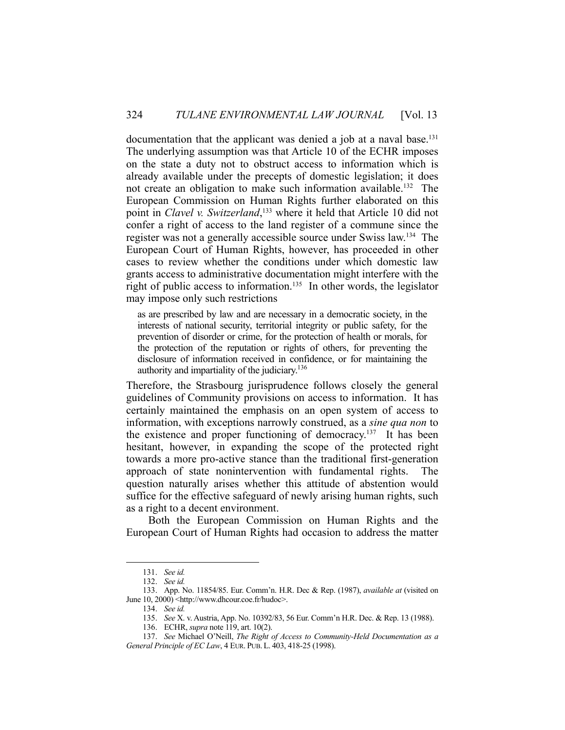documentation that the applicant was denied a job at a naval base.<sup>131</sup> The underlying assumption was that Article 10 of the ECHR imposes on the state a duty not to obstruct access to information which is already available under the precepts of domestic legislation; it does not create an obligation to make such information available.132 The European Commission on Human Rights further elaborated on this point in *Clavel v. Switzerland*, 133 where it held that Article 10 did not confer a right of access to the land register of a commune since the register was not a generally accessible source under Swiss law.134 The European Court of Human Rights, however, has proceeded in other cases to review whether the conditions under which domestic law grants access to administrative documentation might interfere with the right of public access to information.<sup>135</sup> In other words, the legislator may impose only such restrictions

as are prescribed by law and are necessary in a democratic society, in the interests of national security, territorial integrity or public safety, for the prevention of disorder or crime, for the protection of health or morals, for the protection of the reputation or rights of others, for preventing the disclosure of information received in confidence, or for maintaining the authority and impartiality of the judiciary.136

Therefore, the Strasbourg jurisprudence follows closely the general guidelines of Community provisions on access to information. It has certainly maintained the emphasis on an open system of access to information, with exceptions narrowly construed, as a *sine qua non* to the existence and proper functioning of democracy.<sup>137</sup> It has been hesitant, however, in expanding the scope of the protected right towards a more pro-active stance than the traditional first-generation approach of state nonintervention with fundamental rights. The question naturally arises whether this attitude of abstention would suffice for the effective safeguard of newly arising human rights, such as a right to a decent environment.

 Both the European Commission on Human Rights and the European Court of Human Rights had occasion to address the matter

 <sup>131.</sup> *See id.*

 <sup>132.</sup> *See id.*

 <sup>133.</sup> App. No. 11854/85. Eur. Comm'n. H.R. Dec & Rep. (1987), *available at* (visited on June 10, 2000) <http://www.dhcour.coe.fr/hudoc>.

 <sup>134.</sup> *See id.*

 <sup>135.</sup> *See* X. v. Austria, App. No. 10392/83, 56 Eur. Comm'n H.R. Dec. & Rep. 13 (1988).

 <sup>136.</sup> ECHR, *supra* note 119, art. 10(2).

 <sup>137.</sup> *See* Michael O'Neill, *The Right of Access to Community-Held Documentation as a General Principle of EC Law*, 4 EUR. PUB. L. 403, 418-25 (1998).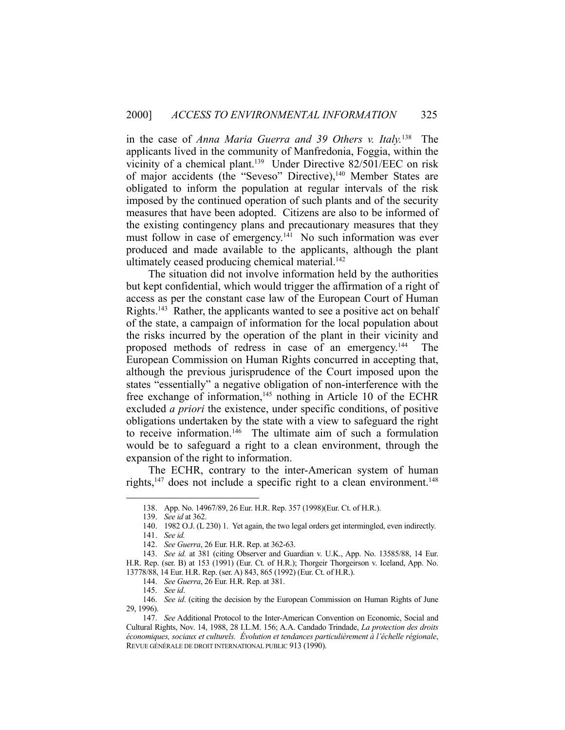in the case of *Anna Maria Guerra and 39 Others v. Italy.*138 The applicants lived in the community of Manfredonia, Foggia, within the vicinity of a chemical plant.139 Under Directive 82/501/EEC on risk of major accidents (the "Seveso" Directive),<sup>140</sup> Member States are obligated to inform the population at regular intervals of the risk imposed by the continued operation of such plants and of the security measures that have been adopted. Citizens are also to be informed of the existing contingency plans and precautionary measures that they must follow in case of emergency.<sup>141</sup> No such information was ever produced and made available to the applicants, although the plant ultimately ceased producing chemical material.<sup>142</sup>

 The situation did not involve information held by the authorities but kept confidential, which would trigger the affirmation of a right of access as per the constant case law of the European Court of Human Rights.143 Rather, the applicants wanted to see a positive act on behalf of the state, a campaign of information for the local population about the risks incurred by the operation of the plant in their vicinity and proposed methods of redress in case of an emergency.144 The European Commission on Human Rights concurred in accepting that, although the previous jurisprudence of the Court imposed upon the states "essentially" a negative obligation of non-interference with the free exchange of information,<sup>145</sup> nothing in Article 10 of the ECHR excluded *a priori* the existence, under specific conditions, of positive obligations undertaken by the state with a view to safeguard the right to receive information.<sup>146</sup> The ultimate aim of such a formulation would be to safeguard a right to a clean environment, through the expansion of the right to information.

 The ECHR, contrary to the inter-American system of human rights, $147$  does not include a specific right to a clean environment. $148$ 

 <sup>138.</sup> App. No. 14967/89, 26 Eur. H.R. Rep. 357 (1998)(Eur. Ct. of H.R.).

 <sup>139.</sup> *See id* at 362.

 <sup>140. 1982</sup> O.J. (L 230) 1. Yet again, the two legal orders get intermingled, even indirectly.

 <sup>141.</sup> *See id.*

 <sup>142.</sup> *See Guerra*, 26 Eur. H.R. Rep. at 362-63.

 <sup>143.</sup> *See id.* at 381 (citing Observer and Guardian v. U.K., App. No. 13585/88, 14 Eur. H.R. Rep. (ser. B) at 153 (1991) (Eur. Ct. of H.R.); Thorgeir Thorgeirson v. Iceland, App. No. 13778/88, 14 Eur. H.R. Rep. (ser. A) 843, 865 (1992) (Eur. Ct. of H.R.).

 <sup>144.</sup> *See Guerra*, 26 Eur. H.R. Rep. at 381.

 <sup>145.</sup> *See id*.

 <sup>146.</sup> *See id*. (citing the decision by the European Commission on Human Rights of June 29, 1996).

 <sup>147.</sup> *See* Additional Protocol to the Inter-American Convention on Economic, Social and Cultural Rights, Nov. 14, 1988, 28 I.L.M. 156; A.A. Candado Trindade, *La protection des droits économiques, sociaux et culturels. Évolution et tendances particulièrement à l'échelle régionale*, REVUE GÉNÉRALE DE DROIT INTERNATIONAL PUBLIC 913 (1990).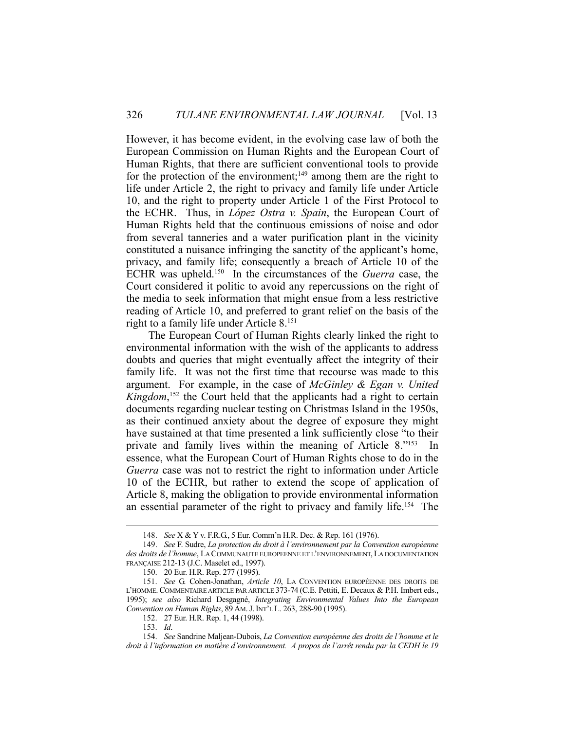However, it has become evident, in the evolving case law of both the European Commission on Human Rights and the European Court of Human Rights, that there are sufficient conventional tools to provide for the protection of the environment;<sup>149</sup> among them are the right to life under Article 2, the right to privacy and family life under Article 10, and the right to property under Article 1 of the First Protocol to the ECHR. Thus, in *López Ostra v. Spain*, the European Court of Human Rights held that the continuous emissions of noise and odor from several tanneries and a water purification plant in the vicinity constituted a nuisance infringing the sanctity of the applicant's home, privacy, and family life; consequently a breach of Article 10 of the ECHR was upheld.150 In the circumstances of the *Guerra* case, the Court considered it politic to avoid any repercussions on the right of the media to seek information that might ensue from a less restrictive reading of Article 10, and preferred to grant relief on the basis of the right to a family life under Article 8.151

 The European Court of Human Rights clearly linked the right to environmental information with the wish of the applicants to address doubts and queries that might eventually affect the integrity of their family life. It was not the first time that recourse was made to this argument. For example, in the case of *McGinley & Egan v. United*  Kingdom,<sup>152</sup> the Court held that the applicants had a right to certain documents regarding nuclear testing on Christmas Island in the 1950s, as their continued anxiety about the degree of exposure they might have sustained at that time presented a link sufficiently close "to their private and family lives within the meaning of Article  $8.^{\prime\prime}153$ essence, what the European Court of Human Rights chose to do in the *Guerra* case was not to restrict the right to information under Article 10 of the ECHR, but rather to extend the scope of application of Article 8, making the obligation to provide environmental information an essential parameter of the right to privacy and family life.154 The

 <sup>148.</sup> *See* X & Y v. F.R.G., 5 Eur. Comm'n H.R. Dec. & Rep. 161 (1976).

 <sup>149.</sup> *See* F. Sudre, *La protection du droit à l'environnement par la Convention européenne des droits de l'homme*, LA COMMUNAUTE EUROPEENNE ET L'ENVIRONNEMENT, LA DOCUMENTATION FRANÇAISE 212-13 (J.C. Maselet ed., 1997).

 <sup>150. 20</sup> Eur. H.R. Rep. 277 (1995).

 <sup>151.</sup> *See* G. Cohen-Jonathan, *Article 10*, LA CONVENTION EUROPÉENNE DES DROITS DE L'HOMME. COMMENTAIRE ARTICLE PAR ARTICLE 373-74 (C.E. Pettiti, E. Decaux & P.H. Imbert eds., 1995); *see also* Richard Desgagné, *Integrating Environmental Values Into the European Convention on Human Rights*, 89 AM.J.INT'L L. 263, 288-90 (1995).

 <sup>152. 27</sup> Eur. H.R. Rep. 1, 44 (1998).

 <sup>153.</sup> *Id*.

 <sup>154.</sup> *See* Sandrine Maljean-Dubois, *La Convention européenne des droits de l'homme et le droit à l'information en matière d'environnement. A propos de l'arrêt rendu par la CEDH le 19*